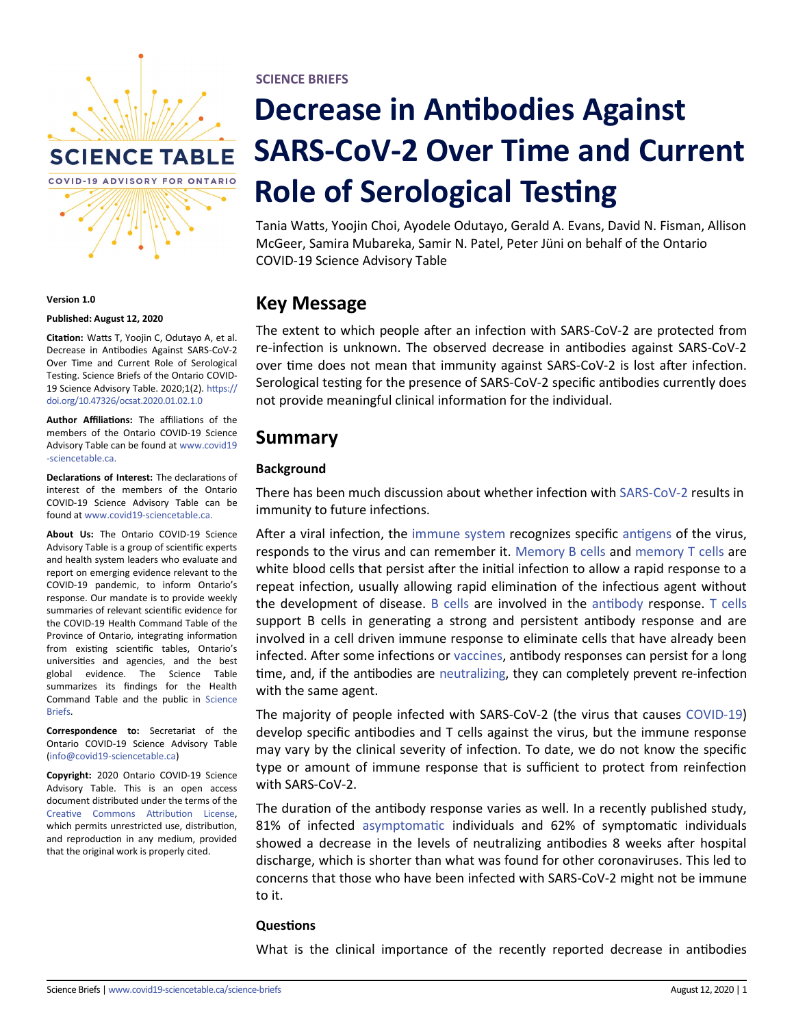

#### **Version 1.0**

#### **Published: August 12, 2020**

**Citation:** Watts T, Yoojin C, Odutayo A, et al. Decrease in Antibodies Against SARS-CoV-2 Over Time and Current Role of Serological Testing. Science Briefs of the Ontario COVID-19 Science Advisory Table. 2020;1(2). [https://](https://doi.org/10.47326/ocsat.2020.01.02.1.0) [doi.org/10.47326/ocsat.2020.01.02.1.0](https://doi.org/10.47326/ocsat.2020.01.02.1.0)

**Author Affiliations:** The affiliations of the members of the Ontario COVID-19 Science Advisory Table can be found at [www.covid19](http://www.covid19-sciencetable.ca) -[sciencetable.ca.](http://www.covid19-sciencetable.ca)

**Declarations of Interest:** The declarations of interest of the members of the Ontario COVID-19 Science Advisory Table can be found at www.covid19-[sciencetable.ca.](http://www.covid19-sciencetable.ca)

**About Us:** The Ontario COVID-19 Science Advisory Table is a group of scientific experts and health system leaders who evaluate and report on emerging evidence relevant to the COVID-19 pandemic, to inform Ontario's response. Our mandate is to provide weekly summaries of relevant scientific evidence for the COVID-19 Health Command Table of the Province of Ontario, integrating information from existing scientific tables, Ontario's universities and agencies, and the best global evidence. The Science Table summarizes its findings for the Health Command Table and the public in [Science](http://www.covid19-sciencetable.ca/science-briefs/)  [Briefs.](http://www.covid19-sciencetable.ca/science-briefs/)

**Correspondence to:** Secretariat of the Ontario COVID-19 Science Advisory Table (info@covid19-[sciencetable.ca\)](mailto:info@covid19-sciencetable.ca)

**Copyright:** 2020 Ontario COVID-19 Science Advisory Table. This is an open access document distributed under the terms of the [Creative Commons Attribution License,](https://creativecommons.org/licenses/by/4.0/) which permits unrestricted use, distribution, and reproduction in any medium, provided that the original work is properly cited.

**SCIENCE BRIEFS**

# **Decrease in Antibodies Against SARS-CoV-2 Over Time and Current Role of Serological Testing**

Tania Watts, Yoojin Choi, Ayodele Odutayo, Gerald A. Evans, David N. Fisman, Allison McGeer, Samira Mubareka, Samir N. Patel, Peter Jüni on behalf of the Ontario COVID-19 Science Advisory Table

## **Key Message**

The extent to which people after an infection with SARS-CoV-2 are protected from re-infection is unknown. The observed decrease in antibodies against SARS-CoV-2 over time does not mean that immunity against SARS-CoV-2 is lost after infection. Serological testing for the presence of SARS-CoV-2 specific antibodies currently does not provide meaningful clinical information for the individual.

## **Summary**

## **Background**

There has been much discussion about whether infection with [SARS](https://covid19-sciencetable.ca/glossary/#sars-cov-2)-CoV-2 results in immunity to future infections.

After a viral infection, the [immune system](https://covid19-sciencetable.ca/glossary/#immune-system) recognizes specific [antigens](https://covid19-sciencetable.ca/glossary/#antigen) of the virus, responds to the virus and can remember it. [Memory B cells](https://covid19-sciencetable.ca/glossary/#memory-b-cell) and [memory T cells](https://covid19-sciencetable.ca/glossary/#memory-t-cell) are white blood cells that persist after the initial infection to allow a rapid response to a repeat infection, usually allowing rapid elimination of the infectious agent without the development of disease. [B cells](https://covid19-sciencetable.ca/glossary/#b-cell) are involved in the [antibody](https://covid19-sciencetable.ca/glossary/#antibody) response. [T cells](https://covid19-sciencetable.ca/glossary/#t-cell) support B cells in generating a strong and persistent antibody response and are involved in a cell driven immune response to eliminate cells that have already been infected. After some infections or [vaccines,](https://covid19-sciencetable.ca/glossary/#vaccine) antibody responses can persist for a long time, and, if the antibodies are [neutralizing,](https://covid19-sciencetable.ca/glossary/#neutralizing-antibody) they can completely prevent re-infection with the same agent.

The majority of people infected with SARS-CoV-2 (the virus that causes [COVID](https://covid19-sciencetable.ca/glossary/#covid-19)-19) develop specific antibodies and T cells against the virus, but the immune response may vary by the clinical severity of infection. To date, we do not know the specific type or amount of immune response that is sufficient to protect from reinfection with SARS-CoV-2.

The duration of the antibody response varies as well. In a recently published study, 81% of infected [asymptomatic](https://covid19-sciencetable.ca/glossary/#asymptomatic) individuals and 62% of symptomatic individuals showed a decrease in the levels of neutralizing antibodies 8 weeks after hospital discharge, which is shorter than what was found for other coronaviruses. This led to concerns that those who have been infected with SARS-CoV-2 might not be immune to it.

### **Questions**

What is the clinical importance of the recently reported decrease in antibodies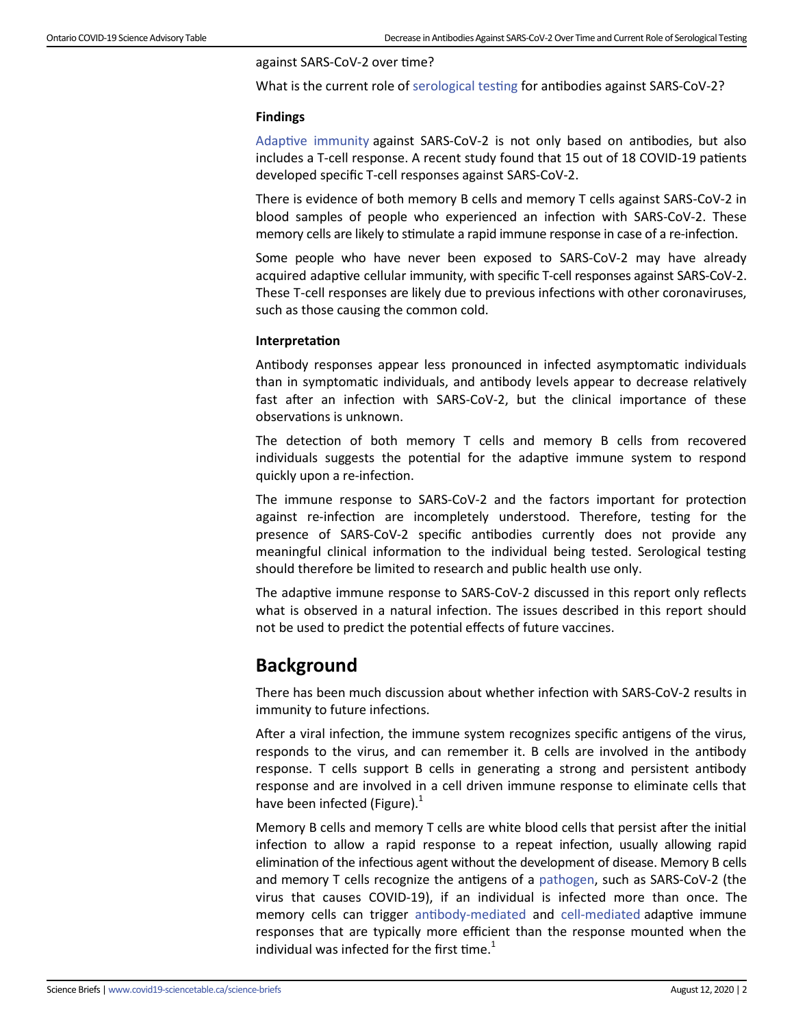#### against SARS-CoV-2 over time?

What is the current role of [serological testing](https://covid19-sciencetable.ca/glossary/#serological-test) for antibodies against SARS-CoV-2?

### **Findings**

[Adaptive immunity](https://covid19-sciencetable.ca/glossary/#adaptive-immune-system) against SARS-CoV-2 is not only based on antibodies, but also includes a T-cell response. A recent study found that 15 out of 18 COVID-19 patients developed specific T-cell responses against SARS-CoV-2.

There is evidence of both memory B cells and memory T cells against SARS-CoV-2 in blood samples of people who experienced an infection with SARS-CoV-2. These memory cells are likely to stimulate a rapid immune response in case of a re-infection.

Some people who have never been exposed to SARS-CoV-2 may have already acquired adaptive cellular immunity, with specific T-cell responses against SARS-CoV-2. These T-cell responses are likely due to previous infections with other coronaviruses, such as those causing the common cold.

### **Interpretation**

Antibody responses appear less pronounced in infected asymptomatic individuals than in symptomatic individuals, and antibody levels appear to decrease relatively fast after an infection with SARS-CoV-2, but the clinical importance of these observations is unknown.

The detection of both memory T cells and memory B cells from recovered individuals suggests the potential for the adaptive immune system to respond quickly upon a re-infection.

The immune response to SARS-CoV-2 and the factors important for protection against re-infection are incompletely understood. Therefore, testing for the presence of SARS-CoV-2 specific antibodies currently does not provide any meaningful clinical information to the individual being tested. Serological testing should therefore be limited to research and public health use only.

The adaptive immune response to SARS-CoV-2 discussed in this report only reflects what is observed in a natural infection. The issues described in this report should not be used to predict the potential effects of future vaccines.

## **Background**

There has been much discussion about whether infection with SARS-CoV-2 results in immunity to future infections.

After a viral infection, the immune system recognizes specific antigens of the virus, responds to the virus, and can remember it. B cells are involved in the antibody response. T cells support B cells in generating a strong and persistent antibody response and are involved in a cell driven immune response to eliminate cells that have been infected (Figure). $<sup>1</sup>$ </sup>

Memory B cells and memory T cells are white blood cells that persist after the initial infection to allow a rapid response to a repeat infection, usually allowing rapid elimination of the infectious agent without the development of disease. Memory B cells and memory T cells recognize the antigens of a [pathogen,](https://covid19-sciencetable.ca/glossary/#pathogen) such as SARS-CoV-2 (the virus that causes COVID-19), if an individual is infected more than once. The memory cells can trigger antibody-[mediated](https://covid19-sciencetable.ca/glossary/#antibody-mediated-immunity) and cell-[mediated](https://covid19-sciencetable.ca/glossary/#cell-mediated-immunity) adaptive immune responses that are typically more efficient than the response mounted when the individual was infected for the first time. $1$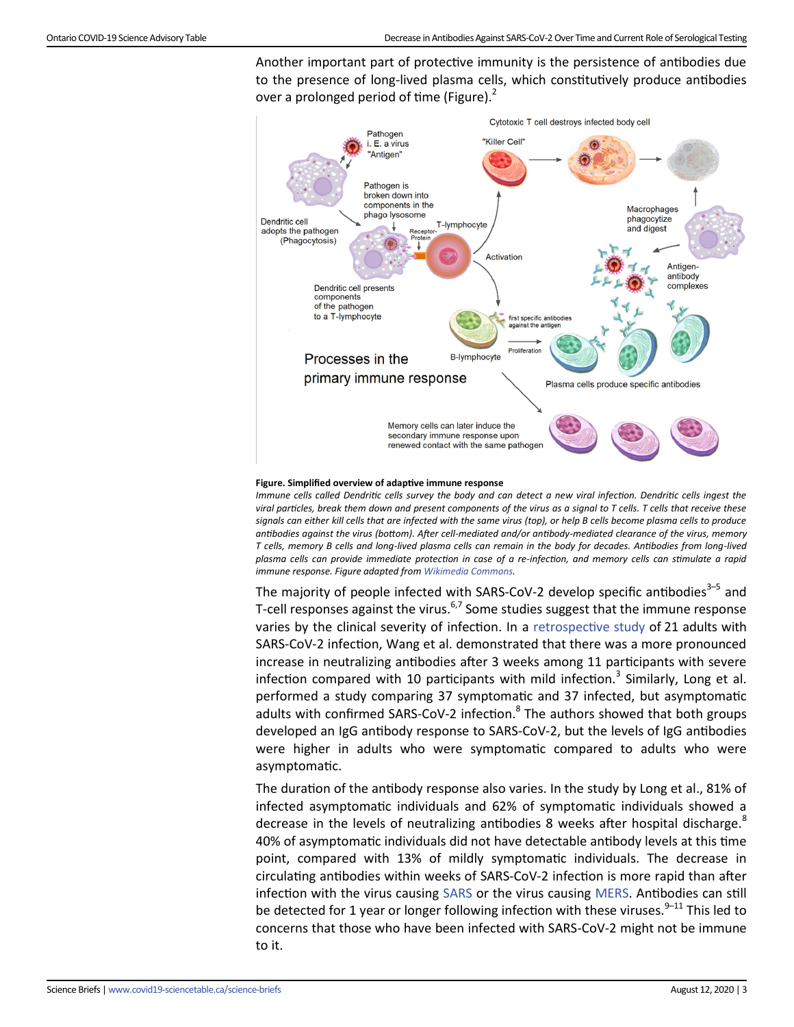Another important part of protective immunity is the persistence of antibodies due to the presence of long-lived plasma cells, which constitutively produce antibodies over a prolonged period of time (Figure).<sup>2</sup>



#### **Figure. Simplified overview of adaptive immune response**

*Immune cells called Dendritic cells survey the body and can detect a new viral infection. Dendritic cells ingest the viral particles, break them down and present components of the virus as a signal to T cells. T cells that receive these signals can either kill cells that are infected with the same virus (top), or help B cells become plasma cells to produce antibodies against the virus (bottom). After cell-mediated and/or antibody-mediated clearance of the virus, memory T cells, memory B cells and long-lived plasma cells can remain in the body for decades. Antibodies from long-lived plasma cells can provide immediate protection in case of a re-infection, and memory cells can stimulate a rapid immune response. Figure adapted from [Wikimedia Commons.](https://commons.wikimedia.org/wiki/File:Primary_immune_response_1.png)*

The majority of people infected with SARS-CoV-2 develop specific antibodies<sup>3-5</sup> and T-cell responses against the virus.<sup>6,7</sup> Some studies suggest that the immune response varies by the clinical severity of infection. In a [retrospective study](https://covid19-sciencetable.ca/glossary/#retrospective-study) of 21 adults with SARS-CoV-2 infection, Wang et al. demonstrated that there was a more pronounced increase in neutralizing antibodies after 3 weeks among 11 participants with severe infection compared with 10 participants with mild infection.<sup>3</sup> Similarly, Long et al. performed a study comparing 37 symptomatic and 37 infected, but asymptomatic adults with confirmed SARS-CoV-2 infection.<sup>8</sup> The authors showed that both groups developed an IgG antibody response to SARS-CoV-2, but the levels of IgG antibodies were higher in adults who were symptomatic compared to adults who were asymptomatic.

The duration of the antibody response also varies. In the study by Long et al., 81% of infected asymptomatic individuals and 62% of symptomatic individuals showed a decrease in the levels of neutralizing antibodies 8 weeks after hospital discharge.<sup>8</sup> 40% of asymptomatic individuals did not have detectable antibody levels at this time point, compared with 13% of mildly symptomatic individuals. The decrease in circulating antibodies within weeks of SARS-CoV-2 infection is more rapid than after infection with the virus causing [SARS](https://covid19-sciencetable.ca/glossary/#severe-acute-respiratory-syndrome-sars) or the virus causing [MERS.](https://covid19-sciencetable.ca/glossary/#middle-east-respiratory-syndrome-mers) Antibodies can still be detected for 1 year or longer following infection with these viruses.<sup>9–11</sup> This led to concerns that those who have been infected with SARS-CoV-2 might not be immune to it.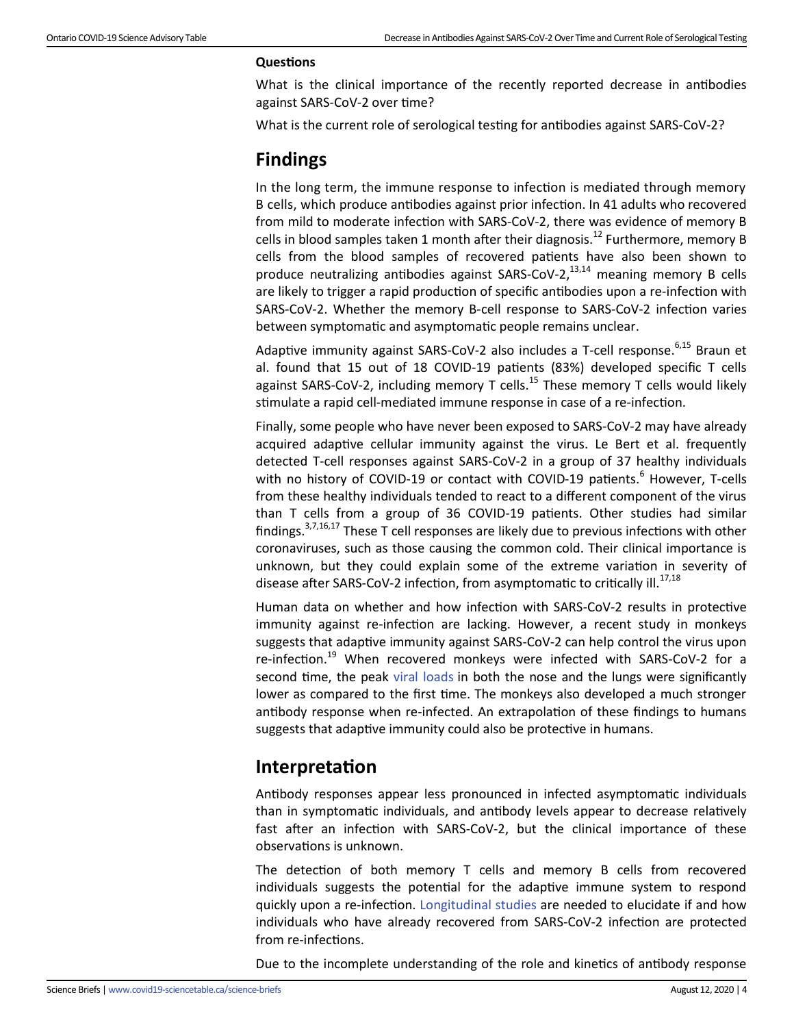## **Questions**

What is the clinical importance of the recently reported decrease in antibodies against SARS-CoV-2 over time?

What is the current role of serological testing for antibodies against SARS-CoV-2?

# **Findings**

In the long term, the immune response to infection is mediated through memory B cells, which produce antibodies against prior infection. In 41 adults who recovered from mild to moderate infection with SARS-CoV-2, there was evidence of memory B cells in blood samples taken 1 month after their diagnosis.<sup>12</sup> Furthermore, memory B cells from the blood samples of recovered patients have also been shown to produce neutralizing antibodies against SARS-CoV-2, $^{13,14}$  meaning memory B cells are likely to trigger a rapid production of specific antibodies upon a re-infection with SARS-CoV-2. Whether the memory B-cell response to SARS-CoV-2 infection varies between symptomatic and asymptomatic people remains unclear.

Adaptive immunity against SARS-CoV-2 also includes a T-cell response.<sup>6,15</sup> Braun et al. found that 15 out of 18 COVID-19 patients (83%) developed specific T cells against SARS-CoV-2, including memory T cells.<sup>15</sup> These memory T cells would likely stimulate a rapid cell-mediated immune response in case of a re-infection.

Finally, some people who have never been exposed to SARS-CoV-2 may have already acquired adaptive cellular immunity against the virus. Le Bert et al. frequently detected T-cell responses against SARS-CoV-2 in a group of 37 healthy individuals with no history of COVID-19 or contact with COVID-19 patients.<sup>6</sup> However, T-cells from these healthy individuals tended to react to a different component of the virus than T cells from a group of 36 COVID-19 patients. Other studies had similar findings.3,7,16,17 These T cell responses are likely due to previous infections with other coronaviruses, such as those causing the common cold. Their clinical importance is unknown, but they could explain some of the extreme variation in severity of disease after SARS-CoV-2 infection, from asymptomatic to critically ill.<sup>17,18</sup>

Human data on whether and how infection with SARS-CoV-2 results in protective immunity against re-infection are lacking. However, a recent study in monkeys suggests that adaptive immunity against SARS-CoV-2 can help control the virus upon re-infection.<sup>19</sup> When recovered monkeys were infected with SARS-CoV-2 for a second time, the peak [viral loads](https://covid19-sciencetable.ca/glossary/#viral-load) in both the nose and the lungs were significantly lower as compared to the first time. The monkeys also developed a much stronger antibody response when re-infected. An extrapolation of these findings to humans suggests that adaptive immunity could also be protective in humans.

## **Interpretation**

Antibody responses appear less pronounced in infected asymptomatic individuals than in symptomatic individuals, and antibody levels appear to decrease relatively fast after an infection with SARS-CoV-2, but the clinical importance of these observations is unknown.

The detection of both memory T cells and memory B cells from recovered individuals suggests the potential for the adaptive immune system to respond quickly upon a re-infection. [Longitudinal studies](https://covid19-sciencetable.ca/glossary/#longitudinal-study) are needed to elucidate if and how individuals who have already recovered from SARS-CoV-2 infection are protected from re-infections.

Due to the incomplete understanding of the role and kinetics of antibody response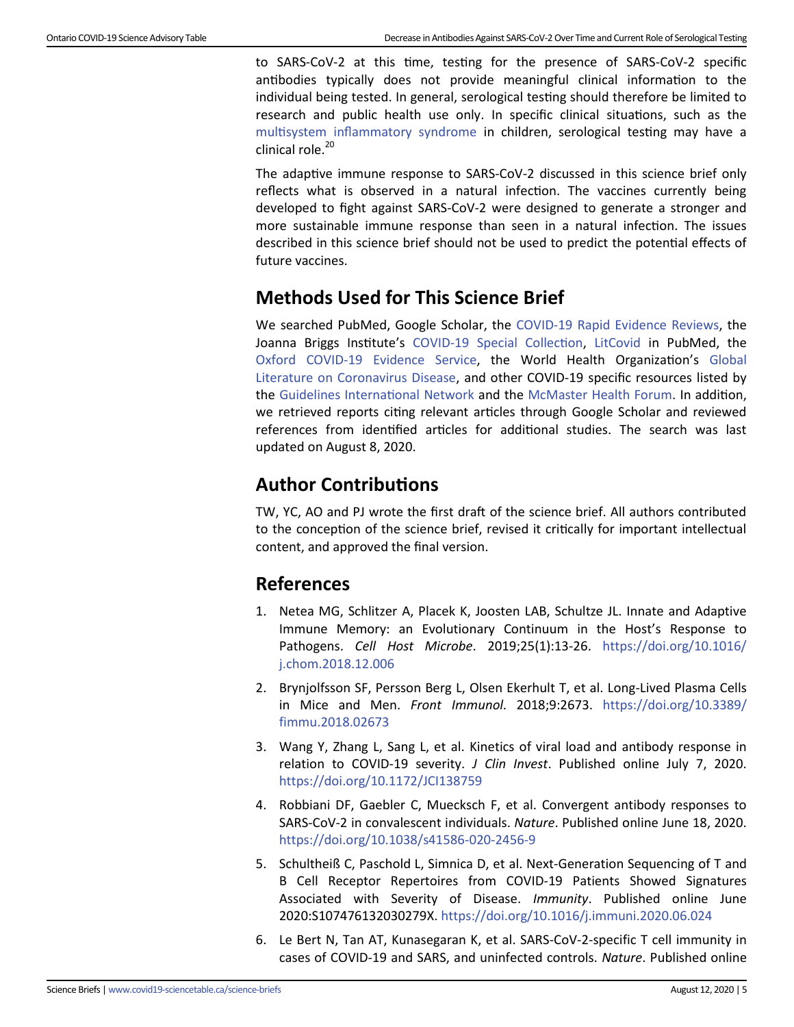to SARS-CoV-2 at this time, testing for the presence of SARS-CoV-2 specific antibodies typically does not provide meaningful clinical information to the individual being tested. In general, serological testing should therefore be limited to research and public health use only. In specific clinical situations, such as the [multisystem inflammatory syndrome](https://covid19-sciencetable.ca/glossary/#multisystem-inflammatory-syndrome) in children, serological testing may have a clinical role. $20$ 

The adaptive immune response to SARS-CoV-2 discussed in this science brief only reflects what is observed in a natural infection. The vaccines currently being developed to fight against SARS-CoV-2 were designed to generate a stronger and more sustainable immune response than seen in a natural infection. The issues described in this science brief should not be used to predict the potential effects of future vaccines.

# **Methods Used for This Science Brief**

We searched PubMed, Google Scholar, the COVID-[19 Rapid Evidence Reviews,](https://www.nccmt.ca/knowledge-repositories/covid-19-evidence-reviews) the Joanna Briggs Institute's COVID-[19 Special Collection,](https://joannabriggs.org/covid-19) [LitCovid](https://www.ncbi.nlm.nih.gov/research/coronavirus/) in PubMed, the Oxford COVID-[19 Evidence Service,](https://www.cebm.net/oxford-covid-19-evidence-service/) the World Health Organization's [Global](https://search.bvsalud.org/global-literature-on-novel-coronavirus-2019-ncov/)  [Literature on Coronavirus Disease,](https://search.bvsalud.org/global-literature-on-novel-coronavirus-2019-ncov/) and other COVID-19 specific resources listed by the [Guidelines International Network](https://g-i-n.net/covid-19/covid-19-evidence-resources) and the [McMaster Health Forum.](https://www.mcmasterforum.org/networks/covid-end/resources-to-support-decision-makers/guide-to-key-covid-19-evidence-sources) In addition, we retrieved reports citing relevant articles through Google Scholar and reviewed references from identified articles for additional studies. The search was last updated on August 8, 2020.

# **Author Contributions**

TW, YC, AO and PJ wrote the first draft of the science brief. All authors contributed to the conception of the science brief, revised it critically for important intellectual content, and approved the final version.

## **References**

- 1. Netea MG, Schlitzer A, Placek K, Joosten LAB, Schultze JL. Innate and Adaptive Immune Memory: an Evolutionary Continuum in the Host's Response to Pathogens. *Cell Host Microbe*. 2019;25(1):13-26. [https://doi.org/10.1016/](https://doi.org/10.1016/j.chom.2018.12.006) [j.chom.2018.12.006](https://doi.org/10.1016/j.chom.2018.12.006)
- 2. Brynjolfsson SF, Persson Berg L, Olsen Ekerhult T, et al. Long-Lived Plasma Cells in Mice and Men. *Front Immunol*. 2018;9:2673. [https://doi.org/10.3389/](https://doi.org/10.3389/fimmu.2018.02673) [fimmu.2018.02673](https://doi.org/10.3389/fimmu.2018.02673)
- 3. Wang Y, Zhang L, Sang L, et al. Kinetics of viral load and antibody response in relation to COVID-19 severity. *J Clin Invest*. Published online July 7, 2020. <https://doi.org/10.1172/JCI138759>
- 4. Robbiani DF, Gaebler C, Muecksch F, et al. Convergent antibody responses to SARS-CoV-2 in convalescent individuals. *Nature*. Published online June 18, 2020. [https://doi.org/10.1038/s41586](https://doi.org/10.1038/s41586-020-2456-9)-020-2456-9
- 5. Schultheiß C, Paschold L, Simnica D, et al. Next-Generation Sequencing of T and B Cell Receptor Repertoires from COVID-19 Patients Showed Signatures Associated with Severity of Disease. *Immunity*. Published online June 2020:S107476132030279X.<https://doi.org/10.1016/j.immuni.2020.06.024>
- 6. Le Bert N, Tan AT, Kunasegaran K, et al. SARS-CoV-2-specific T cell immunity in cases of COVID-19 and SARS, and uninfected controls. *Nature*. Published online